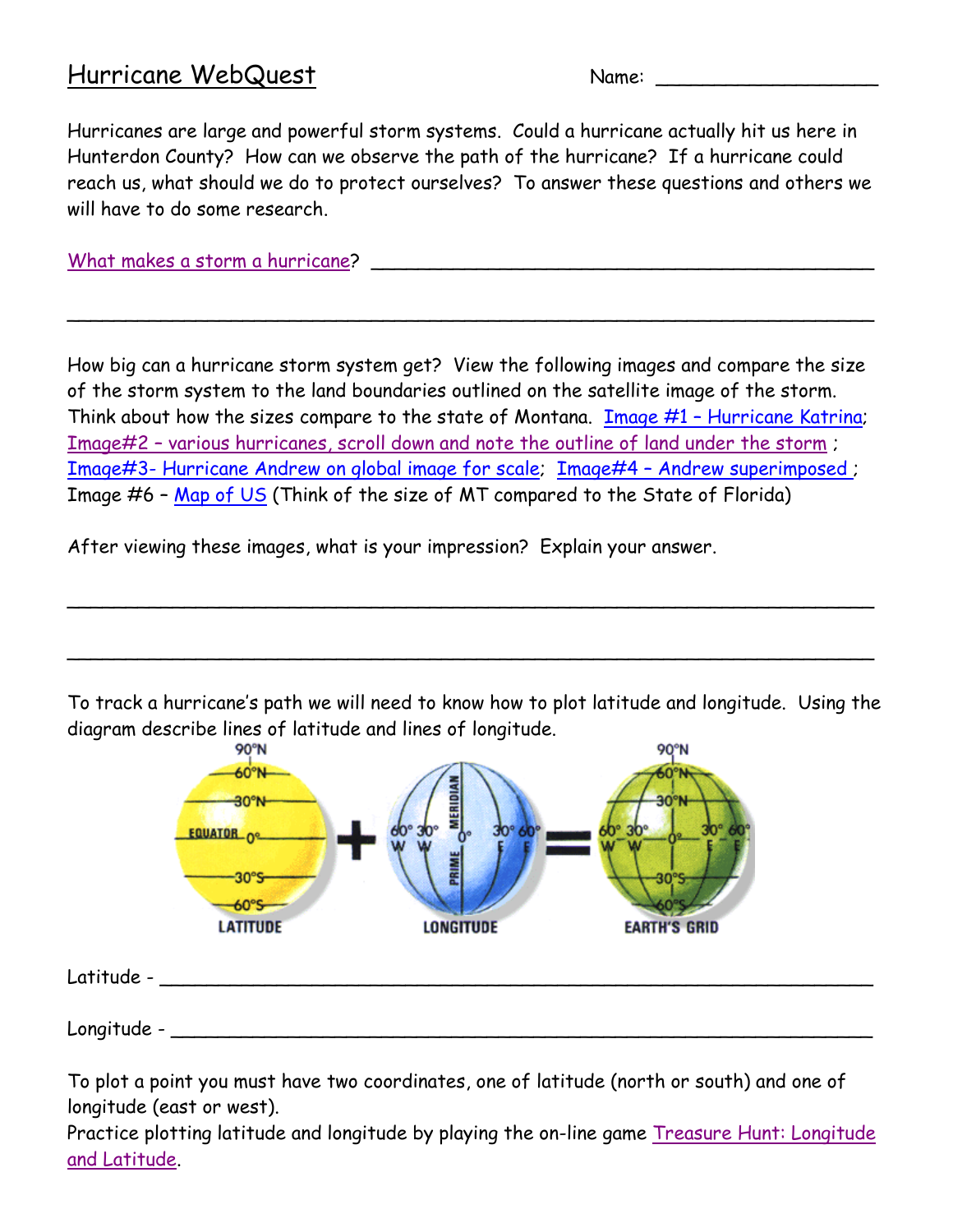## Hurricane WebQuest Name: \_\_\_\_\_\_\_\_\_\_\_\_\_\_\_\_\_\_\_

Hurricanes are large and powerful storm systems. Could a hurricane actually hit us here in Hunterdon County? How can we observe the path of the hurricane? If a hurricane could reach us, what should we do to protect ourselves? To answer these questions and others we will have to do some research.

[What makes a storm a hurricane?](http://environment.nationalgeographic.com/environment/natural-disasters/hurricane-profile/) \_\_\_\_\_\_\_\_\_\_\_\_\_\_\_\_\_\_\_\_\_\_\_\_\_\_\_\_\_\_\_\_\_\_\_\_\_\_\_\_\_\_\_

How big can a hurricane storm system get? View the following images and compare the size of the storm system to the land boundaries outlined on the satellite image of the storm. Think about how the sizes compare to the state of Montana. Image #1 – [Hurricane Katrina;](http://chemtrailsplanet.files.wordpress.com/2012/10/hurricanekatrina.jpg) Image#2 – [various hurricanes, scroll down and note the outline of land under the storm](http://www.bing.com/images/search?q=Satellite+View+of+Hurricane&Form=IQFRDR) ; Image#3- [Hurricane Andrew on global image for scale;](http://hurricanescience.org/history/storms/1990s/andrew/) Image#4 – [Andrew superimposed ;](https://en.wikipedia.org/wiki/Hurricane_Andrew) Image #6 – Map [of US](http://see-math.math.tamu.edu/SEE-ProgDescAct/graphics/USmap.gif) (Think of the size of MT compared to the State of Florida)

\_\_\_\_\_\_\_\_\_\_\_\_\_\_\_\_\_\_\_\_\_\_\_\_\_\_\_\_\_\_\_\_\_\_\_\_\_\_\_\_\_\_\_\_\_\_\_\_\_\_\_\_\_\_\_\_\_\_\_\_\_\_\_\_\_\_\_\_\_

After viewing these images, what is your impression? Explain your answer.

To track a hurricane's path we will need to know how to plot latitude and longitude. Using the diagram describe lines of latitude and lines of longitude.

 $\sim$  0.000  $\sim$  0.000  $\sim$  0.000  $\sim$  0.000  $\sim$  0.000  $\sim$  0.000  $\sim$  0.000  $\sim$  0.000  $\sim$  0.000  $\sim$  0.000  $\sim$  0.000  $\sim$ 

 $\sim$  0.000  $\sim$  0.000  $\sim$  0.000  $\sim$  0.000  $\sim$  0.000  $\sim$  0.000  $\sim$  0.000  $\sim$  0.000  $\sim$  0.000  $\sim$  0.000  $\sim$  0.000  $\sim$ 



To plot a point you must have two coordinates, one of latitude (north or south) and one of longitude (east or west).

Practice plotting latitude and longitude by playing the on-line game [Treasure Hunt: Longitude](http://www.abcya.com/latitude_and_longitude_practice.htm)  [and Latitude.](http://www.abcya.com/latitude_and_longitude_practice.htm)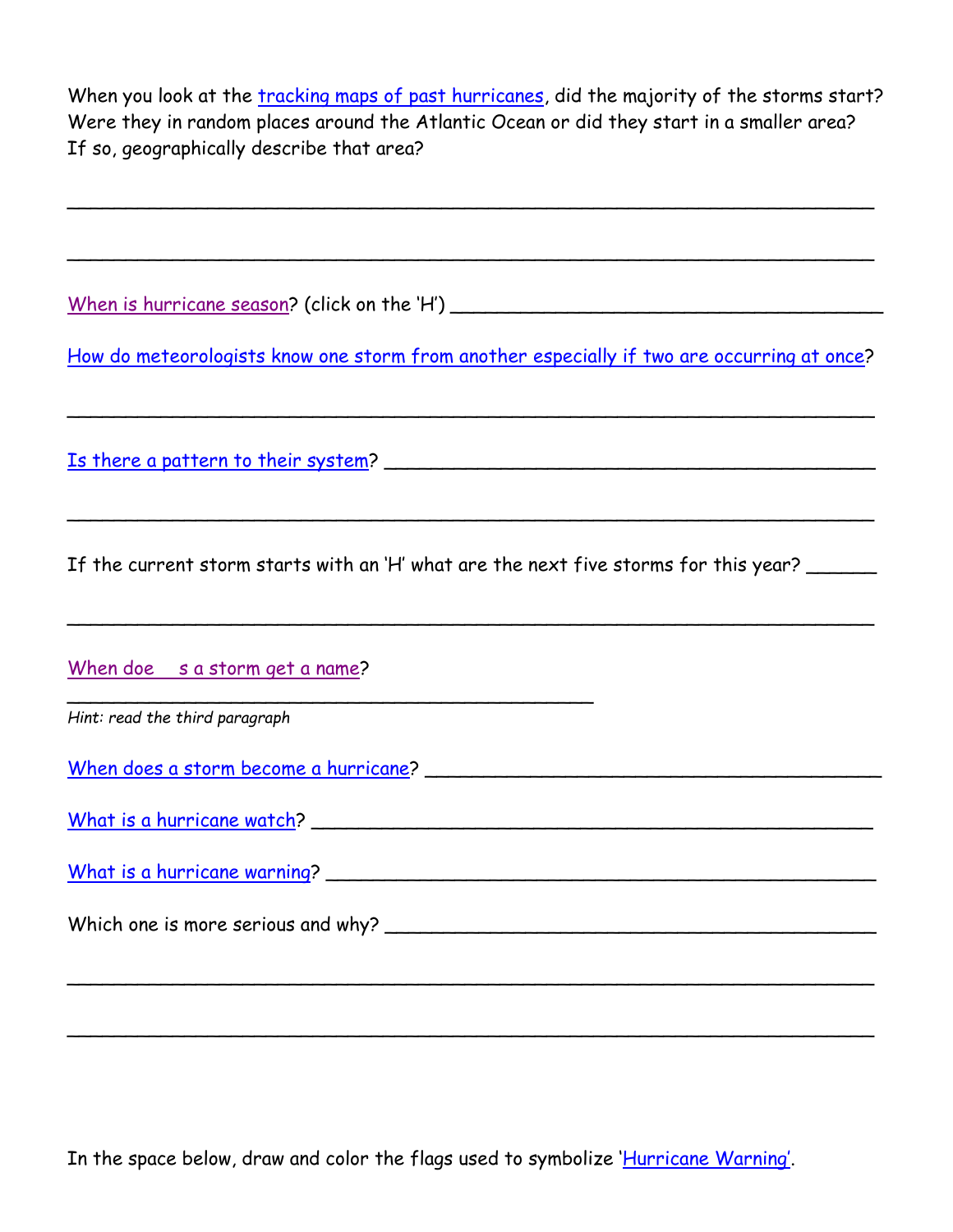When you look at the [tracking maps of past hurricanes,](http://weather.unisys.com/hurricane/atlantic/2013/index.html) did the majority of the storms start? Were they in random places around the Atlantic Ocean or did they start in a smaller area? If so, geographically describe that area?

 $\sim$  . The contract of the contract of the contract of the contract of the contract of the contract of the contract of

 $\sim$  0.000  $\sim$  0.000  $\sim$  0.000  $\sim$  0.000  $\sim$  0.000  $\sim$  0.000  $\sim$  0.000  $\sim$  0.000  $\sim$  0.000  $\sim$  0.000  $\sim$  0.000  $\sim$ 

[When is hurricane season?](http://www.nhc.noaa.gov/aboutgloss.shtml) (click on the 'H') \_\_\_\_\_\_\_\_\_\_\_\_\_\_\_\_\_\_\_\_\_\_\_\_\_\_\_\_\_\_\_\_\_\_\_\_\_

[How do meteorologists know one storm from another](http://www.nhc.noaa.gov/aboutnames_history.shtml) especially if two are occurring at once?

 $\sim$  . The contract of the contract of the contract of the contract of the contract of the contract of the contract of

[Is there a pattern to their system?](http://www.tropical-hurricane.com/hurricane-names.htm)

If the current storm starts with an 'H' what are the next five storms for this year?

 $\sim$  0.000  $\sim$  0.000  $\sim$  0.000  $\sim$  0.000  $\sim$  0.000  $\sim$  0.000  $\sim$  0.000  $\sim$  0.000  $\sim$  0.000  $\sim$  0.000  $\sim$  0.000  $\sim$ 

 $\sim$  0.000  $\sim$  0.000  $\sim$  0.000  $\sim$  0.000  $\sim$  0.000  $\sim$  0.000  $\sim$  0.000  $\sim$  0.000  $\sim$  0.000  $\sim$  0.000  $\sim$  0.000  $\sim$ 

 $\sim$  0.000  $\sim$  0.000  $\sim$  0.000  $\sim$  0.000  $\sim$  0.000  $\sim$  0.000  $\sim$  0.000  $\sim$  0.000  $\sim$  0.000  $\sim$  0.000  $\sim$  0.000  $\sim$ 

 $\sim$  0.000  $\sim$  0.000  $\sim$  0.000  $\sim$  0.000  $\sim$  0.000  $\sim$  0.000  $\sim$  0.000  $\sim$  0.000  $\sim$  0.000  $\sim$  0.000  $\sim$  0.000  $\sim$ 

When doe [s a storm get a name?](http://environment.nationalgeographic.com/environment/natural-disasters/hurricane-profile/)

*Hint: read the third paragraph*

[When does a storm become a hurricane?](http://environment.nationalgeographic.com/environment/natural-disasters/hurricane-profile/) \_\_\_\_\_\_\_\_\_\_\_\_\_\_\_\_\_\_\_\_\_\_\_\_\_\_\_\_\_\_\_\_\_\_\_\_\_\_\_

\_\_\_\_\_\_\_\_\_\_\_\_\_\_\_\_\_\_\_\_\_\_\_\_\_\_\_\_\_\_\_\_\_\_\_\_\_\_\_\_\_\_\_\_\_

[What is a hurricane watch?](http://www.miamisci.org/hurricane/warnings.html) \_\_\_\_\_\_\_\_\_\_\_\_\_\_\_\_\_\_\_\_\_\_\_\_\_\_\_\_\_\_\_\_\_\_\_\_\_\_\_\_\_\_\_\_\_\_\_\_

[What is a hurricane warning?](http://www.miamisci.org/hurricane/warnings.html) \_\_\_\_\_\_\_\_\_\_\_\_\_\_\_\_\_\_\_\_\_\_\_\_\_\_\_\_\_\_\_\_\_\_\_\_\_\_\_\_\_\_\_\_\_\_\_

Which one is more serious and why? \_\_\_\_\_\_\_\_\_\_\_\_\_\_\_\_\_\_\_\_\_\_\_\_\_\_\_\_\_\_\_\_\_\_\_\_\_\_\_\_\_\_

In the space below, draw and color the flags used to symbolize '[Hurricane Warning](http://www.bing.com/images/search?q=Hurricane+Watch+and+Warning+Flags&Form=IQFRDR#view=detail&id=8B8D9D92CEB9821CD11E141AF070F49C3C5D945B&selectedIndex=0)'.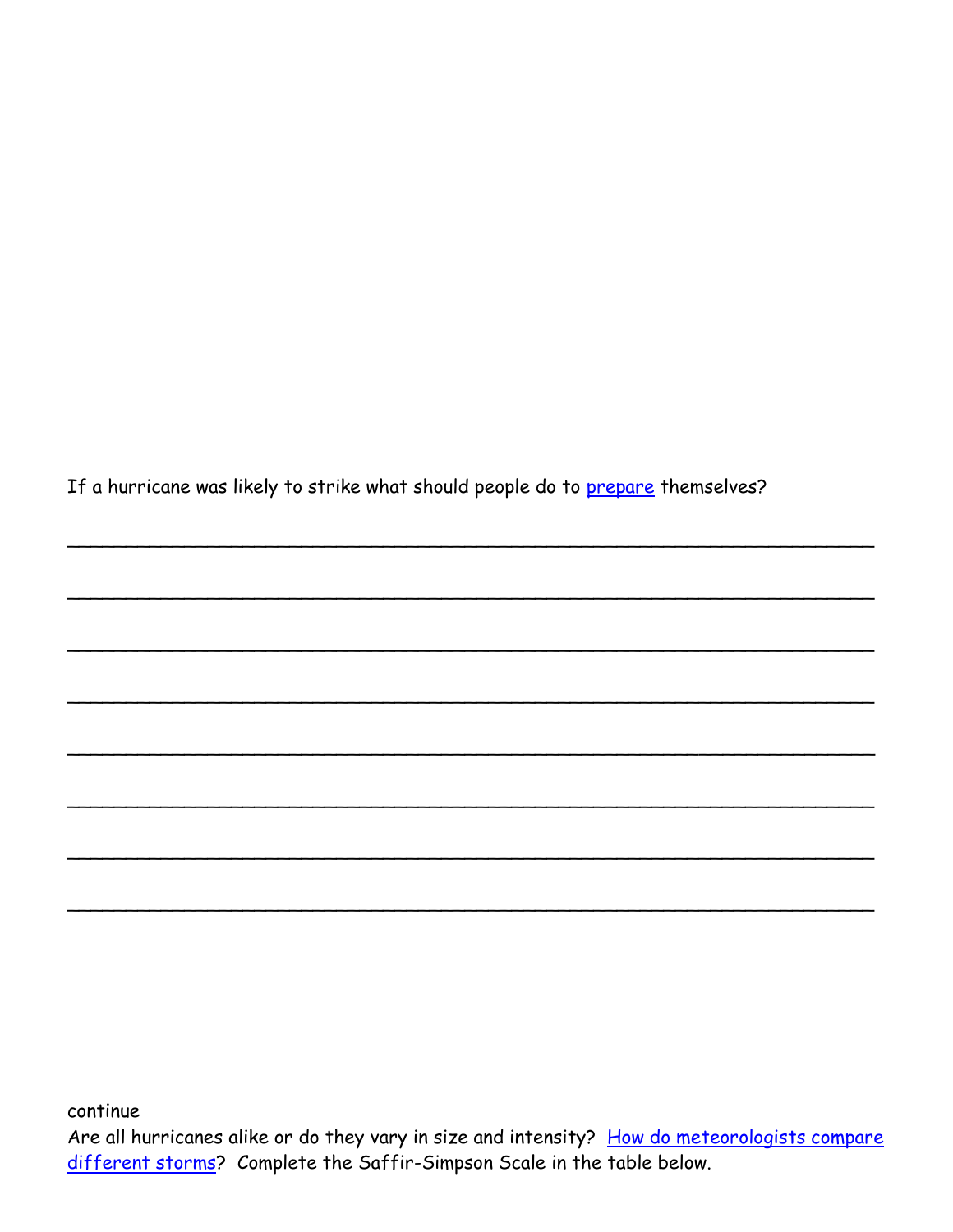If a hurricane was likely to strike what should people do to prepare themselves?

continue Are all hurricanes alike or do they vary in size and intensity? How do meteorologists compare different storms? Complete the Saffir-Simpson Scale in the table below.